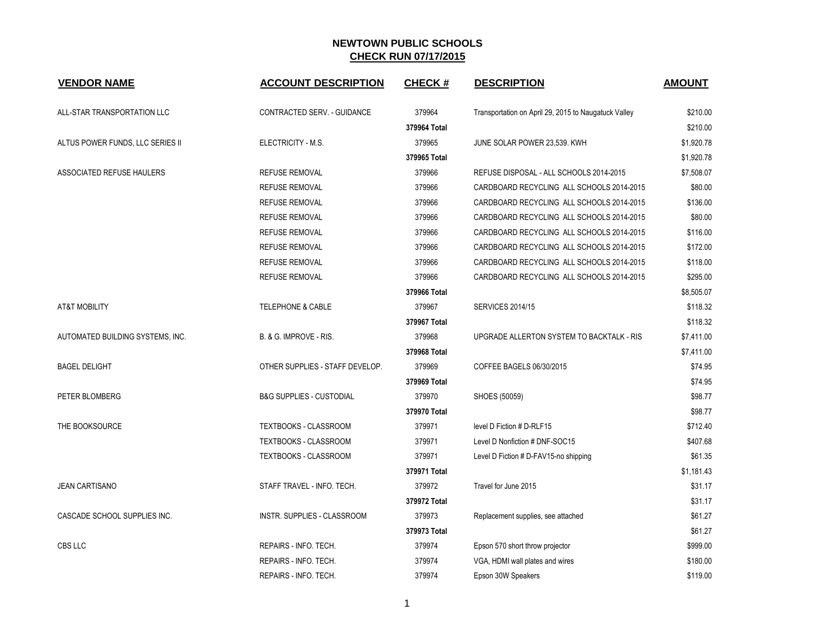| <b>VENDOR NAME</b>               | <b>ACCOUNT DESCRIPTION</b>          | <b>CHECK#</b> | <b>DESCRIPTION</b>                                   | <b>AMOUNT</b> |
|----------------------------------|-------------------------------------|---------------|------------------------------------------------------|---------------|
| ALL-STAR TRANSPORTATION LLC      | CONTRACTED SERV. - GUIDANCE         | 379964        | Transportation on April 29, 2015 to Naugatuck Valley | \$210.00      |
|                                  |                                     | 379964 Total  |                                                      | \$210.00      |
| ALTUS POWER FUNDS, LLC SERIES II | ELECTRICITY - M.S.                  | 379965        | JUNE SOLAR POWER 23,539. KWH                         | \$1,920.78    |
|                                  |                                     | 379965 Total  |                                                      | \$1,920.78    |
| ASSOCIATED REFUSE HAULERS        | <b>REFUSE REMOVAL</b>               | 379966        | REFUSE DISPOSAL - ALL SCHOOLS 2014-2015              | \$7,508.07    |
|                                  | <b>REFUSE REMOVAL</b>               | 379966        | CARDBOARD RECYCLING ALL SCHOOLS 2014-2015            | \$80.00       |
|                                  | <b>REFUSE REMOVAL</b>               | 379966        | CARDBOARD RECYCLING ALL SCHOOLS 2014-2015            | \$136.00      |
|                                  | <b>REFUSE REMOVAL</b>               | 379966        | CARDBOARD RECYCLING ALL SCHOOLS 2014-2015            | \$80.00       |
|                                  | <b>REFUSE REMOVAL</b>               | 379966        | CARDBOARD RECYCLING ALL SCHOOLS 2014-2015            | \$116.00      |
|                                  | <b>REFUSE REMOVAL</b>               | 379966        | CARDBOARD RECYCLING ALL SCHOOLS 2014-2015            | \$172.00      |
|                                  | <b>REFUSE REMOVAL</b>               | 379966        | CARDBOARD RECYCLING ALL SCHOOLS 2014-2015            | \$118.00      |
|                                  | <b>REFUSE REMOVAL</b>               | 379966        | CARDBOARD RECYCLING ALL SCHOOLS 2014-2015            | \$295.00      |
|                                  |                                     | 379966 Total  |                                                      | \$8,505.07    |
| <b>AT&amp;T MOBILITY</b>         | TELEPHONE & CABLE                   | 379967        | <b>SERVICES 2014/15</b>                              | \$118.32      |
|                                  |                                     | 379967 Total  |                                                      | \$118.32      |
| AUTOMATED BUILDING SYSTEMS, INC. | B. & G. IMPROVE - RIS.              | 379968        | UPGRADE ALLERTON SYSTEM TO BACKTALK - RIS            | \$7,411.00    |
|                                  |                                     | 379968 Total  |                                                      | \$7,411.00    |
| <b>BAGEL DELIGHT</b>             | OTHER SUPPLIES - STAFF DEVELOP.     | 379969        | COFFEE BAGELS 06/30/2015                             | \$74.95       |
|                                  |                                     | 379969 Total  |                                                      | \$74.95       |
| PETER BLOMBERG                   | <b>B&amp;G SUPPLIES - CUSTODIAL</b> | 379970        | SHOES (50059)                                        | \$98.77       |
|                                  |                                     | 379970 Total  |                                                      | \$98.77       |
| THE BOOKSOURCE                   | TEXTBOOKS - CLASSROOM               | 379971        | level D Fiction # D-RLF15                            | \$712.40      |
|                                  | <b>TEXTBOOKS - CLASSROOM</b>        | 379971        | Level D Nonfiction # DNF-SOC15                       | \$407.68      |
|                                  | TEXTBOOKS - CLASSROOM               | 379971        | Level D Fiction # D-FAV15-no shipping                | \$61.35       |
|                                  |                                     | 379971 Total  |                                                      | \$1,181.43    |
| <b>JEAN CARTISANO</b>            | STAFF TRAVEL - INFO. TECH.          | 379972        | Travel for June 2015                                 | \$31.17       |
|                                  |                                     | 379972 Total  |                                                      | \$31.17       |
| CASCADE SCHOOL SUPPLIES INC.     | INSTR. SUPPLIES - CLASSROOM         | 379973        | Replacement supplies, see attached                   | \$61.27       |
|                                  |                                     | 379973 Total  |                                                      | \$61.27       |
| CBS LLC                          | REPAIRS - INFO. TECH.               | 379974        | Epson 570 short throw projector                      | \$999.00      |
|                                  | REPAIRS - INFO. TECH.               | 379974        | VGA, HDMI wall plates and wires                      | \$180.00      |
|                                  | REPAIRS - INFO. TECH.               | 379974        | Epson 30W Speakers                                   | \$119.00      |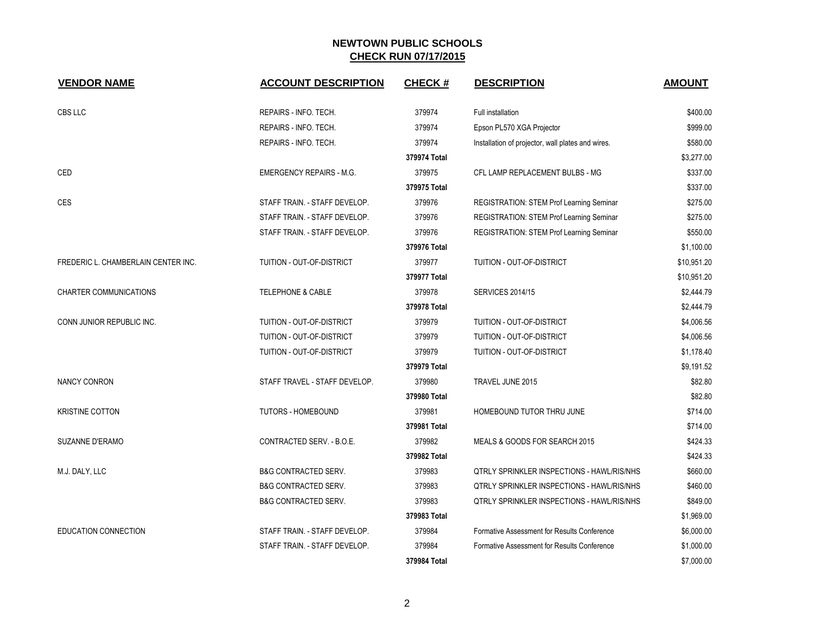| <b>VENDOR NAME</b>                  | <b>ACCOUNT DESCRIPTION</b>      | <b>CHECK#</b> | <b>DESCRIPTION</b>                                | <b>AMOUNT</b> |
|-------------------------------------|---------------------------------|---------------|---------------------------------------------------|---------------|
| CBS LLC                             | REPAIRS - INFO. TECH.           | 379974        | Full installation                                 | \$400.00      |
|                                     | REPAIRS - INFO. TECH.           | 379974        | Epson PL570 XGA Projector                         | \$999.00      |
|                                     | REPAIRS - INFO. TECH.           | 379974        | Installation of projector, wall plates and wires. | \$580.00      |
|                                     |                                 | 379974 Total  |                                                   | \$3,277.00    |
| CED                                 | <b>EMERGENCY REPAIRS - M.G.</b> | 379975        | CFL LAMP REPLACEMENT BULBS - MG                   | \$337.00      |
|                                     |                                 | 379975 Total  |                                                   | \$337.00      |
| CES                                 | STAFF TRAIN. - STAFF DEVELOP.   | 379976        | <b>REGISTRATION: STEM Prof Learning Seminar</b>   | \$275.00      |
|                                     | STAFF TRAIN. - STAFF DEVELOP.   | 379976        | REGISTRATION: STEM Prof Learning Seminar          | \$275.00      |
|                                     | STAFF TRAIN. - STAFF DEVELOP.   | 379976        | REGISTRATION: STEM Prof Learning Seminar          | \$550.00      |
|                                     |                                 | 379976 Total  |                                                   | \$1,100.00    |
| FREDERIC L. CHAMBERLAIN CENTER INC. | TUITION - OUT-OF-DISTRICT       | 379977        | TUITION - OUT-OF-DISTRICT                         | \$10,951.20   |
|                                     |                                 | 379977 Total  |                                                   | \$10,951.20   |
| <b>CHARTER COMMUNICATIONS</b>       | <b>TELEPHONE &amp; CABLE</b>    | 379978        | <b>SERVICES 2014/15</b>                           | \$2,444.79    |
|                                     |                                 | 379978 Total  |                                                   | \$2,444.79    |
| CONN JUNIOR REPUBLIC INC.           | TUITION - OUT-OF-DISTRICT       | 379979        | TUITION - OUT-OF-DISTRICT                         | \$4,006.56    |
|                                     | TUITION - OUT-OF-DISTRICT       | 379979        | TUITION - OUT-OF-DISTRICT                         | \$4,006.56    |
|                                     | TUITION - OUT-OF-DISTRICT       | 379979        | TUITION - OUT-OF-DISTRICT                         | \$1,178.40    |
|                                     |                                 | 379979 Total  |                                                   | \$9,191.52    |
| <b>NANCY CONRON</b>                 | STAFF TRAVEL - STAFF DEVELOP.   | 379980        | TRAVEL JUNE 2015                                  | \$82.80       |
|                                     |                                 | 379980 Total  |                                                   | \$82.80       |
| <b>KRISTINE COTTON</b>              | <b>TUTORS - HOMEBOUND</b>       | 379981        | HOMEBOUND TUTOR THRU JUNE                         | \$714.00      |
|                                     |                                 | 379981 Total  |                                                   | \$714.00      |
| SUZANNE D'ERAMO                     | CONTRACTED SERV. - B.O.E.       | 379982        | MEALS & GOODS FOR SEARCH 2015                     | \$424.33      |
|                                     |                                 | 379982 Total  |                                                   | \$424.33      |
| M.J. DALY, LLC                      | <b>B&amp;G CONTRACTED SERV.</b> | 379983        | <b>QTRLY SPRINKLER INSPECTIONS - HAWL/RIS/NHS</b> | \$660.00      |
|                                     | <b>B&amp;G CONTRACTED SERV.</b> | 379983        | <b>QTRLY SPRINKLER INSPECTIONS - HAWL/RIS/NHS</b> | \$460.00      |
|                                     | <b>B&amp;G CONTRACTED SERV.</b> | 379983        | <b>QTRLY SPRINKLER INSPECTIONS - HAWL/RIS/NHS</b> | \$849.00      |
|                                     |                                 | 379983 Total  |                                                   | \$1,969.00    |
| EDUCATION CONNECTION                | STAFF TRAIN. - STAFF DEVELOP.   | 379984        | Formative Assessment for Results Conference       | \$6,000.00    |
|                                     | STAFF TRAIN. - STAFF DEVELOP.   | 379984        | Formative Assessment for Results Conference       | \$1,000.00    |
|                                     |                                 | 379984 Total  |                                                   | \$7,000.00    |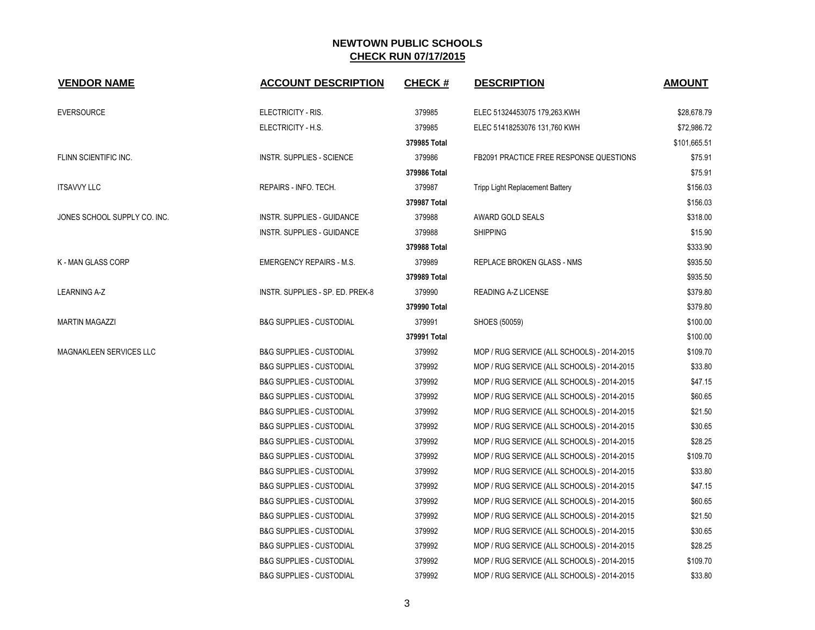| <b>VENDOR NAME</b>           | <b>ACCOUNT DESCRIPTION</b>          | <b>CHECK#</b> | <b>DESCRIPTION</b>                             | <b>AMOUNT</b> |
|------------------------------|-------------------------------------|---------------|------------------------------------------------|---------------|
| <b>EVERSOURCE</b>            | ELECTRICITY - RIS.                  | 379985        | ELEC 51324453075 179,263.KWH                   | \$28,678.79   |
|                              | ELECTRICITY - H.S.                  | 379985        | ELEC 51418253076 131,760 KWH                   | \$72,986.72   |
|                              |                                     | 379985 Total  |                                                | \$101,665.51  |
| FLINN SCIENTIFIC INC.        | INSTR. SUPPLIES - SCIENCE           | 379986        | <b>FB2091 PRACTICE FREE RESPONSE QUESTIONS</b> | \$75.91       |
|                              |                                     | 379986 Total  |                                                | \$75.91       |
| <b>ITSAVVY LLC</b>           | REPAIRS - INFO. TECH.               | 379987        | Tripp Light Replacement Battery                | \$156.03      |
|                              |                                     | 379987 Total  |                                                | \$156.03      |
| JONES SCHOOL SUPPLY CO. INC. | INSTR. SUPPLIES - GUIDANCE          | 379988        | AWARD GOLD SEALS                               | \$318.00      |
|                              | INSTR. SUPPLIES - GUIDANCE          | 379988        | <b>SHIPPING</b>                                | \$15.90       |
|                              |                                     | 379988 Total  |                                                | \$333.90      |
| K - MAN GLASS CORP           | <b>EMERGENCY REPAIRS - M.S.</b>     | 379989        | REPLACE BROKEN GLASS - NMS                     | \$935.50      |
|                              |                                     | 379989 Total  |                                                | \$935.50      |
| <b>LEARNING A-Z</b>          | INSTR. SUPPLIES - SP. ED. PREK-8    | 379990        | <b>READING A-Z LICENSE</b>                     | \$379.80      |
|                              |                                     | 379990 Total  |                                                | \$379.80      |
| <b>MARTIN MAGAZZI</b>        | <b>B&amp;G SUPPLIES - CUSTODIAL</b> | 379991        | SHOES (50059)                                  | \$100.00      |
|                              |                                     | 379991 Total  |                                                | \$100.00      |
| MAGNAKLEEN SERVICES LLC      | <b>B&amp;G SUPPLIES - CUSTODIAL</b> | 379992        | MOP / RUG SERVICE (ALL SCHOOLS) - 2014-2015    | \$109.70      |
|                              | <b>B&amp;G SUPPLIES - CUSTODIAL</b> | 379992        | MOP / RUG SERVICE (ALL SCHOOLS) - 2014-2015    | \$33.80       |
|                              | <b>B&amp;G SUPPLIES - CUSTODIAL</b> | 379992        | MOP / RUG SERVICE (ALL SCHOOLS) - 2014-2015    | \$47.15       |
|                              | <b>B&amp;G SUPPLIES - CUSTODIAL</b> | 379992        | MOP / RUG SERVICE (ALL SCHOOLS) - 2014-2015    | \$60.65       |
|                              | <b>B&amp;G SUPPLIES - CUSTODIAL</b> | 379992        | MOP / RUG SERVICE (ALL SCHOOLS) - 2014-2015    | \$21.50       |
|                              | <b>B&amp;G SUPPLIES - CUSTODIAL</b> | 379992        | MOP / RUG SERVICE (ALL SCHOOLS) - 2014-2015    | \$30.65       |
|                              | <b>B&amp;G SUPPLIES - CUSTODIAL</b> | 379992        | MOP / RUG SERVICE (ALL SCHOOLS) - 2014-2015    | \$28.25       |
|                              | <b>B&amp;G SUPPLIES - CUSTODIAL</b> | 379992        | MOP / RUG SERVICE (ALL SCHOOLS) - 2014-2015    | \$109.70      |
|                              | <b>B&amp;G SUPPLIES - CUSTODIAL</b> | 379992        | MOP / RUG SERVICE (ALL SCHOOLS) - 2014-2015    | \$33.80       |
|                              | <b>B&amp;G SUPPLIES - CUSTODIAL</b> | 379992        | MOP / RUG SERVICE (ALL SCHOOLS) - 2014-2015    | \$47.15       |
|                              | <b>B&amp;G SUPPLIES - CUSTODIAL</b> | 379992        | MOP / RUG SERVICE (ALL SCHOOLS) - 2014-2015    | \$60.65       |
|                              | <b>B&amp;G SUPPLIES - CUSTODIAL</b> | 379992        | MOP / RUG SERVICE (ALL SCHOOLS) - 2014-2015    | \$21.50       |
|                              | <b>B&amp;G SUPPLIES - CUSTODIAL</b> | 379992        | MOP / RUG SERVICE (ALL SCHOOLS) - 2014-2015    | \$30.65       |
|                              | <b>B&amp;G SUPPLIES - CUSTODIAL</b> | 379992        | MOP / RUG SERVICE (ALL SCHOOLS) - 2014-2015    | \$28.25       |
|                              | <b>B&amp;G SUPPLIES - CUSTODIAL</b> | 379992        | MOP / RUG SERVICE (ALL SCHOOLS) - 2014-2015    | \$109.70      |
|                              | <b>B&amp;G SUPPLIES - CUSTODIAL</b> | 379992        | MOP / RUG SERVICE (ALL SCHOOLS) - 2014-2015    | \$33.80       |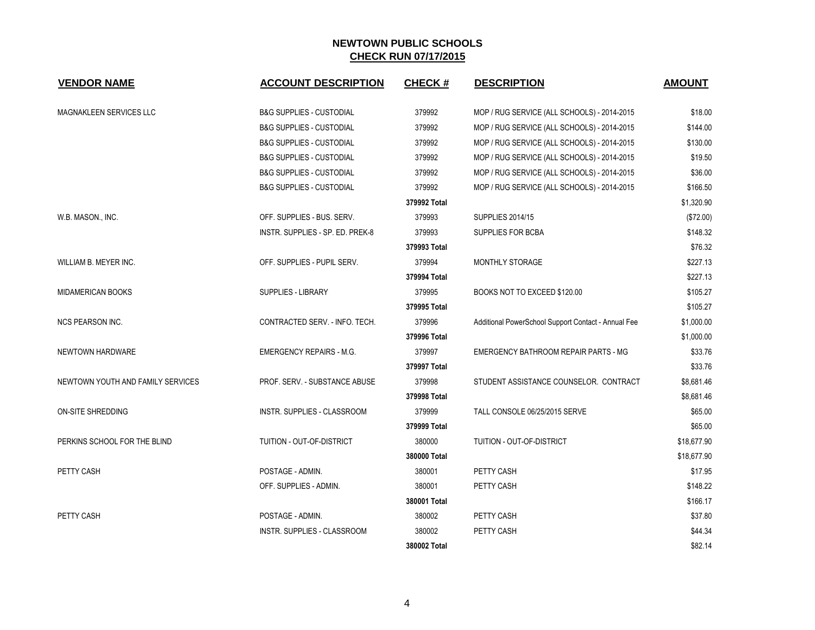| <b>VENDOR NAME</b>                | <b>ACCOUNT DESCRIPTION</b>          | <b>CHECK#</b> | <b>DESCRIPTION</b>                                  | <b>AMOUNT</b> |
|-----------------------------------|-------------------------------------|---------------|-----------------------------------------------------|---------------|
| <b>MAGNAKLEEN SERVICES LLC</b>    | <b>B&amp;G SUPPLIES - CUSTODIAL</b> | 379992        | MOP / RUG SERVICE (ALL SCHOOLS) - 2014-2015         | \$18.00       |
|                                   | <b>B&amp;G SUPPLIES - CUSTODIAL</b> | 379992        | MOP / RUG SERVICE (ALL SCHOOLS) - 2014-2015         | \$144.00      |
|                                   | <b>B&amp;G SUPPLIES - CUSTODIAL</b> | 379992        | MOP / RUG SERVICE (ALL SCHOOLS) - 2014-2015         | \$130.00      |
|                                   | <b>B&amp;G SUPPLIES - CUSTODIAL</b> | 379992        | MOP / RUG SERVICE (ALL SCHOOLS) - 2014-2015         | \$19.50       |
|                                   | <b>B&amp;G SUPPLIES - CUSTODIAL</b> | 379992        | MOP / RUG SERVICE (ALL SCHOOLS) - 2014-2015         | \$36.00       |
|                                   | <b>B&amp;G SUPPLIES - CUSTODIAL</b> | 379992        | MOP / RUG SERVICE (ALL SCHOOLS) - 2014-2015         | \$166.50      |
|                                   |                                     | 379992 Total  |                                                     | \$1,320.90    |
| W.B. MASON., INC.                 | OFF. SUPPLIES - BUS. SERV.          | 379993        | <b>SUPPLIES 2014/15</b>                             | (\$72.00)     |
|                                   | INSTR. SUPPLIES - SP. ED. PREK-8    | 379993        | SUPPLIES FOR BCBA                                   | \$148.32      |
|                                   |                                     | 379993 Total  |                                                     | \$76.32       |
| WILLIAM B. MEYER INC.             | OFF. SUPPLIES - PUPIL SERV.         | 379994        | MONTHLY STORAGE                                     | \$227.13      |
|                                   |                                     | 379994 Total  |                                                     | \$227.13      |
| MIDAMERICAN BOOKS                 | SUPPLIES - LIBRARY                  | 379995        | BOOKS NOT TO EXCEED \$120.00                        | \$105.27      |
|                                   |                                     | 379995 Total  |                                                     | \$105.27      |
| <b>NCS PEARSON INC.</b>           | CONTRACTED SERV. - INFO. TECH.      | 379996        | Additional PowerSchool Support Contact - Annual Fee | \$1,000.00    |
|                                   |                                     | 379996 Total  |                                                     | \$1,000.00    |
| NEWTOWN HARDWARE                  | <b>EMERGENCY REPAIRS - M.G.</b>     | 379997        | EMERGENCY BATHROOM REPAIR PARTS - MG                | \$33.76       |
|                                   |                                     | 379997 Total  |                                                     | \$33.76       |
| NEWTOWN YOUTH AND FAMILY SERVICES | PROF. SERV. - SUBSTANCE ABUSE       | 379998        | STUDENT ASSISTANCE COUNSELOR. CONTRACT              | \$8,681.46    |
|                                   |                                     | 379998 Total  |                                                     | \$8,681.46    |
| ON-SITE SHREDDING                 | INSTR. SUPPLIES - CLASSROOM         | 379999        | TALL CONSOLE 06/25/2015 SERVE                       | \$65.00       |
|                                   |                                     | 379999 Total  |                                                     | \$65.00       |
| PERKINS SCHOOL FOR THE BLIND      | TUITION - OUT-OF-DISTRICT           | 380000        | <b>TUITION - OUT-OF-DISTRICT</b>                    | \$18,677.90   |
|                                   |                                     | 380000 Total  |                                                     | \$18,677.90   |
| PETTY CASH                        | POSTAGE - ADMIN.                    | 380001        | PETTY CASH                                          | \$17.95       |
|                                   | OFF. SUPPLIES - ADMIN.              | 380001        | PETTY CASH                                          | \$148.22      |
|                                   |                                     | 380001 Total  |                                                     | \$166.17      |
| PETTY CASH                        | POSTAGE - ADMIN.                    | 380002        | PETTY CASH                                          | \$37.80       |
|                                   | INSTR. SUPPLIES - CLASSROOM         | 380002        | PETTY CASH                                          | \$44.34       |
|                                   |                                     | 380002 Total  |                                                     | \$82.14       |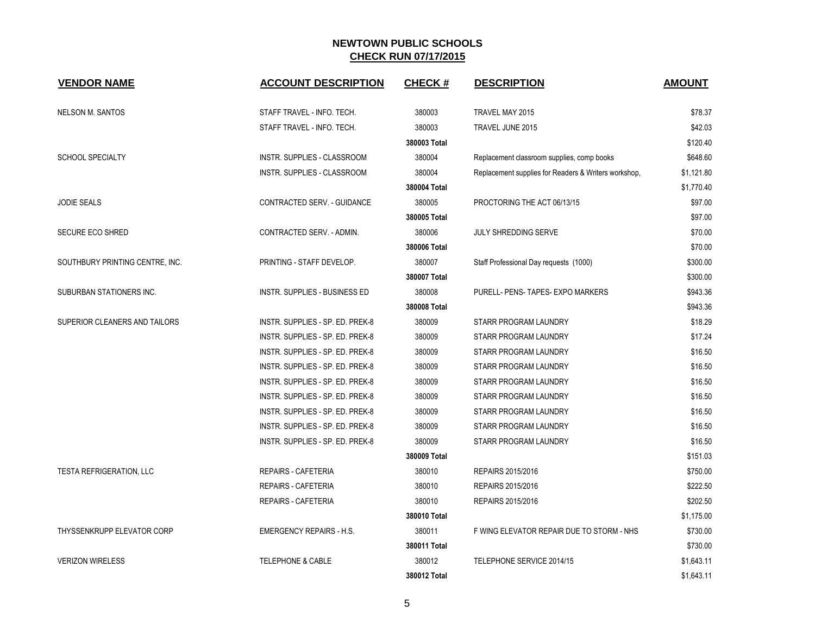| <b>VENDOR NAME</b>                | <b>ACCOUNT DESCRIPTION</b>         | <b>CHECK#</b> | <b>DESCRIPTION</b>                                   | <b>AMOUNT</b> |
|-----------------------------------|------------------------------------|---------------|------------------------------------------------------|---------------|
| <b>NELSON M. SANTOS</b>           | STAFF TRAVEL - INFO. TECH.         | 380003        | TRAVEL MAY 2015                                      | \$78.37       |
|                                   | STAFF TRAVEL - INFO. TECH.         | 380003        | TRAVEL JUNE 2015                                     | \$42.03       |
|                                   |                                    | 380003 Total  |                                                      | \$120.40      |
| <b>SCHOOL SPECIALTY</b>           | INSTR. SUPPLIES - CLASSROOM        | 380004        | Replacement classroom supplies, comp books           | \$648.60      |
|                                   | <b>INSTR. SUPPLIES - CLASSROOM</b> | 380004        | Replacement supplies for Readers & Writers workshop, | \$1,121.80    |
|                                   |                                    | 380004 Total  |                                                      | \$1,770.40    |
| <b>JODIE SEALS</b>                | CONTRACTED SERV. - GUIDANCE        | 380005        | PROCTORING THE ACT 06/13/15                          | \$97.00       |
|                                   |                                    | 380005 Total  |                                                      | \$97.00       |
| <b>SECURE ECO SHRED</b>           | CONTRACTED SERV. - ADMIN.          | 380006        | JULY SHREDDING SERVE                                 | \$70.00       |
|                                   |                                    | 380006 Total  |                                                      | \$70.00       |
| SOUTHBURY PRINTING CENTRE, INC.   | PRINTING - STAFF DEVELOP.          | 380007        | Staff Professional Day requests (1000)               | \$300.00      |
|                                   |                                    | 380007 Total  |                                                      | \$300.00      |
| SUBURBAN STATIONERS INC.          | INSTR. SUPPLIES - BUSINESS ED      | 380008        | PURELL- PENS- TAPES- EXPO MARKERS                    | \$943.36      |
|                                   |                                    | 380008 Total  |                                                      | \$943.36      |
| SUPERIOR CLEANERS AND TAILORS     | INSTR. SUPPLIES - SP. ED. PREK-8   | 380009        | STARR PROGRAM LAUNDRY                                | \$18.29       |
|                                   | INSTR. SUPPLIES - SP. ED. PREK-8   | 380009        | STARR PROGRAM LAUNDRY                                | \$17.24       |
|                                   | INSTR. SUPPLIES - SP. ED. PREK-8   | 380009        | STARR PROGRAM LAUNDRY                                | \$16.50       |
|                                   | INSTR. SUPPLIES - SP. ED. PREK-8   | 380009        | STARR PROGRAM LAUNDRY                                | \$16.50       |
|                                   | INSTR. SUPPLIES - SP. ED. PREK-8   | 380009        | STARR PROGRAM LAUNDRY                                | \$16.50       |
|                                   | INSTR. SUPPLIES - SP. ED. PREK-8   | 380009        | STARR PROGRAM LAUNDRY                                | \$16.50       |
|                                   | INSTR. SUPPLIES - SP. ED. PREK-8   | 380009        | STARR PROGRAM LAUNDRY                                | \$16.50       |
|                                   | INSTR. SUPPLIES - SP. ED. PREK-8   | 380009        | STARR PROGRAM LAUNDRY                                | \$16.50       |
|                                   | INSTR. SUPPLIES - SP. ED. PREK-8   | 380009        | STARR PROGRAM LAUNDRY                                | \$16.50       |
|                                   |                                    | 380009 Total  |                                                      | \$151.03      |
| <b>TESTA REFRIGERATION, LLC</b>   | REPAIRS - CAFETERIA                | 380010        | REPAIRS 2015/2016                                    | \$750.00      |
|                                   | REPAIRS - CAFETERIA                | 380010        | REPAIRS 2015/2016                                    | \$222.50      |
|                                   | <b>REPAIRS - CAFETERIA</b>         | 380010        | REPAIRS 2015/2016                                    | \$202.50      |
|                                   |                                    | 380010 Total  |                                                      | \$1,175.00    |
| <b>THYSSENKRUPP ELEVATOR CORP</b> | <b>EMERGENCY REPAIRS - H.S.</b>    | 380011        | F WING ELEVATOR REPAIR DUE TO STORM - NHS            | \$730.00      |
|                                   |                                    | 380011 Total  |                                                      | \$730.00      |
| <b>VERIZON WIRELESS</b>           | <b>TELEPHONE &amp; CABLE</b>       | 380012        | TELEPHONE SERVICE 2014/15                            | \$1,643.11    |
|                                   |                                    | 380012 Total  |                                                      | \$1,643.11    |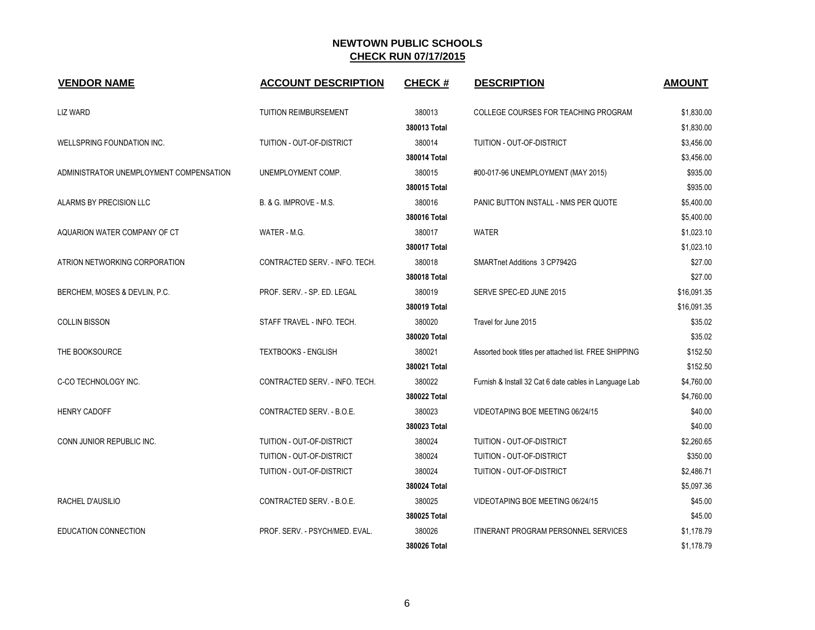| <b>VENDOR NAME</b>                      | <b>ACCOUNT DESCRIPTION</b>     | <b>CHECK#</b> | <b>DESCRIPTION</b>                                     | <b>AMOUNT</b> |
|-----------------------------------------|--------------------------------|---------------|--------------------------------------------------------|---------------|
| <b>LIZ WARD</b>                         | <b>TUITION REIMBURSEMENT</b>   | 380013        | COLLEGE COURSES FOR TEACHING PROGRAM                   | \$1,830.00    |
|                                         |                                | 380013 Total  |                                                        | \$1,830.00    |
| WELLSPRING FOUNDATION INC.              | TUITION - OUT-OF-DISTRICT      | 380014        | TUITION - OUT-OF-DISTRICT                              | \$3,456.00    |
|                                         |                                | 380014 Total  |                                                        | \$3,456.00    |
| ADMINISTRATOR UNEMPLOYMENT COMPENSATION | UNEMPLOYMENT COMP.             | 380015        | #00-017-96 UNEMPLOYMENT (MAY 2015)                     | \$935.00      |
|                                         |                                | 380015 Total  |                                                        | \$935.00      |
| ALARMS BY PRECISION LLC                 | B. & G. IMPROVE - M.S.         | 380016        | PANIC BUTTON INSTALL - NMS PER QUOTE                   | \$5,400.00    |
|                                         |                                | 380016 Total  |                                                        | \$5,400.00    |
| AQUARION WATER COMPANY OF CT            | WATER - M.G.                   | 380017        | <b>WATER</b>                                           | \$1,023.10    |
|                                         |                                | 380017 Total  |                                                        | \$1,023.10    |
| ATRION NETWORKING CORPORATION           | CONTRACTED SERV. - INFO. TECH. | 380018        | SMARTnet Additions 3 CP7942G                           | \$27.00       |
|                                         |                                | 380018 Total  |                                                        | \$27.00       |
| BERCHEM, MOSES & DEVLIN, P.C.           | PROF. SERV. - SP. ED. LEGAL    | 380019        | SERVE SPEC-ED JUNE 2015                                | \$16,091.35   |
|                                         |                                | 380019 Total  |                                                        | \$16,091.35   |
| <b>COLLIN BISSON</b>                    | STAFF TRAVEL - INFO. TECH.     | 380020        | Travel for June 2015                                   | \$35.02       |
|                                         |                                | 380020 Total  |                                                        | \$35.02       |
| THE BOOKSOURCE                          | <b>TEXTBOOKS - ENGLISH</b>     | 380021        | Assorted book titles per attached list. FREE SHIPPING  | \$152.50      |
|                                         |                                | 380021 Total  |                                                        | \$152.50      |
| C-CO TECHNOLOGY INC.                    | CONTRACTED SERV. - INFO. TECH. | 380022        | Furnish & Install 32 Cat 6 date cables in Language Lab | \$4,760.00    |
|                                         |                                | 380022 Total  |                                                        | \$4,760.00    |
| <b>HENRY CADOFF</b>                     | CONTRACTED SERV. - B.O.E.      | 380023        | VIDEOTAPING BOE MEETING 06/24/15                       | \$40.00       |
|                                         |                                | 380023 Total  |                                                        | \$40.00       |
| CONN JUNIOR REPUBLIC INC.               | TUITION - OUT-OF-DISTRICT      | 380024        | TUITION - OUT-OF-DISTRICT                              | \$2,260.65    |
|                                         | TUITION - OUT-OF-DISTRICT      | 380024        | TUITION - OUT-OF-DISTRICT                              | \$350.00      |
|                                         | TUITION - OUT-OF-DISTRICT      | 380024        | TUITION - OUT-OF-DISTRICT                              | \$2,486.71    |
|                                         |                                | 380024 Total  |                                                        | \$5,097.36    |
| RACHEL D'AUSILIO                        | CONTRACTED SERV. - B.O.E.      | 380025        | VIDEOTAPING BOE MEETING 06/24/15                       | \$45.00       |
|                                         |                                | 380025 Total  |                                                        | \$45.00       |
| <b>EDUCATION CONNECTION</b>             | PROF. SERV. - PSYCH/MED. EVAL. | 380026        | <b>ITINERANT PROGRAM PERSONNEL SERVICES</b>            | \$1,178.79    |
|                                         |                                | 380026 Total  |                                                        | \$1,178.79    |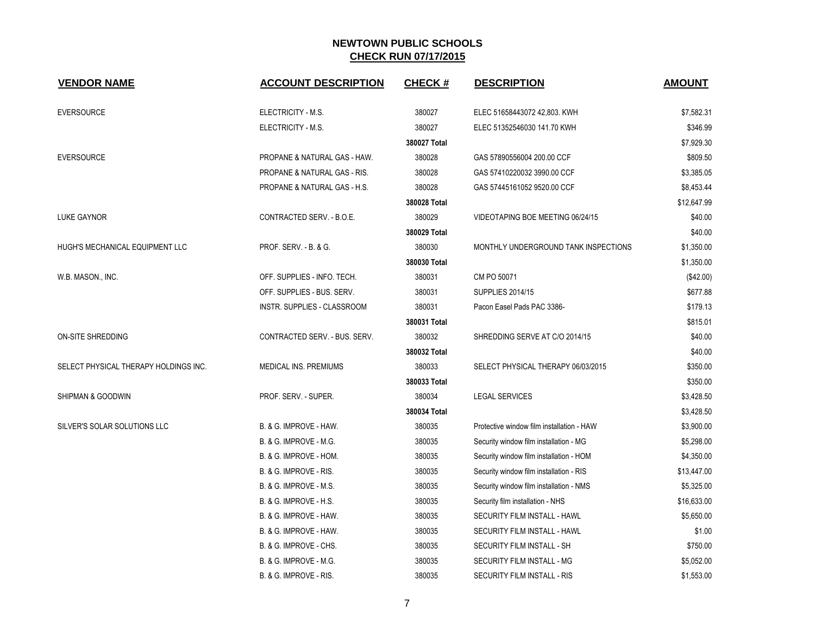| <b>VENDOR NAME</b>                    | <b>ACCOUNT DESCRIPTION</b>    | <b>CHECK#</b> | <b>DESCRIPTION</b>                        | <b>AMOUNT</b> |
|---------------------------------------|-------------------------------|---------------|-------------------------------------------|---------------|
| <b>EVERSOURCE</b>                     | ELECTRICITY - M.S.            | 380027        | ELEC 51658443072 42,803. KWH              | \$7,582.31    |
|                                       | ELECTRICITY - M.S.            | 380027        | ELEC 51352546030 141.70 KWH               | \$346.99      |
|                                       |                               | 380027 Total  |                                           | \$7,929.30    |
| <b>EVERSOURCE</b>                     | PROPANE & NATURAL GAS - HAW.  | 380028        | GAS 57890556004 200.00 CCF                | \$809.50      |
|                                       | PROPANE & NATURAL GAS - RIS.  | 380028        | GAS 57410220032 3990.00 CCF               | \$3,385.05    |
|                                       | PROPANE & NATURAL GAS - H.S.  | 380028        | GAS 57445161052 9520.00 CCF               | \$8,453.44    |
|                                       |                               | 380028 Total  |                                           | \$12,647.99   |
| <b>LUKE GAYNOR</b>                    | CONTRACTED SERV. - B.O.E.     | 380029        | VIDEOTAPING BOE MEETING 06/24/15          | \$40.00       |
|                                       |                               | 380029 Total  |                                           | \$40.00       |
| HUGH'S MECHANICAL EQUIPMENT LLC       | PROF. SERV. - B. & G.         | 380030        | MONTHLY UNDERGROUND TANK INSPECTIONS      | \$1,350.00    |
|                                       |                               | 380030 Total  |                                           | \$1,350.00    |
| W.B. MASON., INC.                     | OFF. SUPPLIES - INFO. TECH.   | 380031        | CM PO 50071                               | (\$42.00)     |
|                                       | OFF. SUPPLIES - BUS. SERV.    | 380031        | <b>SUPPLIES 2014/15</b>                   | \$677.88      |
|                                       | INSTR. SUPPLIES - CLASSROOM   | 380031        | Pacon Easel Pads PAC 3386-                | \$179.13      |
|                                       |                               | 380031 Total  |                                           | \$815.01      |
| <b>ON-SITE SHREDDING</b>              | CONTRACTED SERV. - BUS. SERV. | 380032        | SHREDDING SERVE AT C/O 2014/15            | \$40.00       |
|                                       |                               | 380032 Total  |                                           | \$40.00       |
| SELECT PHYSICAL THERAPY HOLDINGS INC. | MEDICAL INS. PREMIUMS         | 380033        | SELECT PHYSICAL THERAPY 06/03/2015        | \$350.00      |
|                                       |                               | 380033 Total  |                                           | \$350.00      |
| <b>SHIPMAN &amp; GOODWIN</b>          | PROF. SERV. - SUPER.          | 380034        | <b>LEGAL SERVICES</b>                     | \$3,428.50    |
|                                       |                               | 380034 Total  |                                           | \$3,428.50    |
| SILVER'S SOLAR SOLUTIONS LLC          | B. & G. IMPROVE - HAW.        | 380035        | Protective window film installation - HAW | \$3,900.00    |
|                                       | B. & G. IMPROVE - M.G.        | 380035        | Security window film installation - MG    | \$5,298.00    |
|                                       | B. & G. IMPROVE - HOM.        | 380035        | Security window film installation - HOM   | \$4,350.00    |
|                                       | B. & G. IMPROVE - RIS.        | 380035        | Security window film installation - RIS   | \$13,447.00   |
|                                       | B. & G. IMPROVE - M.S.        | 380035        | Security window film installation - NMS   | \$5,325.00    |
|                                       | B. & G. IMPROVE - H.S.        | 380035        | Security film installation - NHS          | \$16,633.00   |
|                                       | B. & G. IMPROVE - HAW.        | 380035        | SECURITY FILM INSTALL - HAWL              | \$5,650.00    |
|                                       | B. & G. IMPROVE - HAW.        | 380035        | SECURITY FILM INSTALL - HAWL              | \$1.00        |
|                                       | B. & G. IMPROVE - CHS.        | 380035        | SECURITY FILM INSTALL - SH                | \$750.00      |
|                                       | B. & G. IMPROVE - M.G.        | 380035        | SECURITY FILM INSTALL - MG                | \$5,052.00    |
|                                       | B. & G. IMPROVE - RIS.        | 380035        | SECURITY FILM INSTALL - RIS               | \$1,553.00    |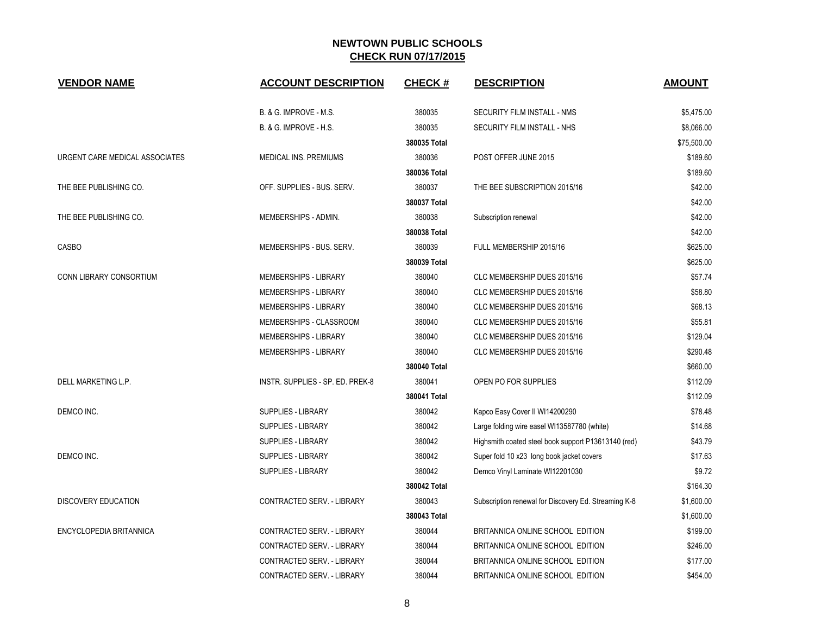| <b>VENDOR NAME</b>             | <b>ACCOUNT DESCRIPTION</b>       | <b>CHECK#</b> | <b>DESCRIPTION</b>                                   | <b>AMOUNT</b> |
|--------------------------------|----------------------------------|---------------|------------------------------------------------------|---------------|
|                                | B. & G. IMPROVE - M.S.           | 380035        | SECURITY FILM INSTALL - NMS                          | \$5,475.00    |
|                                | B. & G. IMPROVE - H.S.           | 380035        | SECURITY FILM INSTALL - NHS                          | \$8,066.00    |
|                                |                                  | 380035 Total  |                                                      | \$75,500.00   |
| URGENT CARE MEDICAL ASSOCIATES | MEDICAL INS. PREMIUMS            | 380036        | POST OFFER JUNE 2015                                 | \$189.60      |
|                                |                                  | 380036 Total  |                                                      | \$189.60      |
| THE BEE PUBLISHING CO.         | OFF. SUPPLIES - BUS. SERV.       | 380037        | THE BEE SUBSCRIPTION 2015/16                         | \$42.00       |
|                                |                                  | 380037 Total  |                                                      | \$42.00       |
| THE BEE PUBLISHING CO.         | MEMBERSHIPS - ADMIN.             | 380038        | Subscription renewal                                 | \$42.00       |
|                                |                                  | 380038 Total  |                                                      | \$42.00       |
| <b>CASBO</b>                   | MEMBERSHIPS - BUS. SERV.         | 380039        | FULL MEMBERSHIP 2015/16                              | \$625.00      |
|                                |                                  | 380039 Total  |                                                      | \$625.00      |
| CONN LIBRARY CONSORTIUM        | MEMBERSHIPS - LIBRARY            | 380040        | CLC MEMBERSHIP DUES 2015/16                          | \$57.74       |
|                                | <b>MEMBERSHIPS - LIBRARY</b>     | 380040        | CLC MEMBERSHIP DUES 2015/16                          | \$58.80       |
|                                | MEMBERSHIPS - LIBRARY            | 380040        | CLC MEMBERSHIP DUES 2015/16                          | \$68.13       |
|                                | MEMBERSHIPS - CLASSROOM          | 380040        | CLC MEMBERSHIP DUES 2015/16                          | \$55.81       |
|                                | MEMBERSHIPS - LIBRARY            | 380040        | CLC MEMBERSHIP DUES 2015/16                          | \$129.04      |
|                                | MEMBERSHIPS - LIBRARY            | 380040        | CLC MEMBERSHIP DUES 2015/16                          | \$290.48      |
|                                |                                  | 380040 Total  |                                                      | \$660.00      |
| DELL MARKETING L.P.            | INSTR. SUPPLIES - SP. ED. PREK-8 | 380041        | OPEN PO FOR SUPPLIES                                 | \$112.09      |
|                                |                                  | 380041 Total  |                                                      | \$112.09      |
| DEMCO INC.                     | <b>SUPPLIES - LIBRARY</b>        | 380042        | Kapco Easy Cover II WI14200290                       | \$78.48       |
|                                | SUPPLIES - LIBRARY               | 380042        | Large folding wire easel WI13587780 (white)          | \$14.68       |
|                                | SUPPLIES - LIBRARY               | 380042        | Highsmith coated steel book support P13613140 (red)  | \$43.79       |
| DEMCO INC.                     | <b>SUPPLIES - LIBRARY</b>        | 380042        | Super fold 10 x23 long book jacket covers            | \$17.63       |
|                                | <b>SUPPLIES - LIBRARY</b>        | 380042        | Demco Vinyl Laminate WI12201030                      | \$9.72        |
|                                |                                  | 380042 Total  |                                                      | \$164.30      |
| <b>DISCOVERY EDUCATION</b>     | CONTRACTED SERV. - LIBRARY       | 380043        | Subscription renewal for Discovery Ed. Streaming K-8 | \$1,600.00    |
|                                |                                  | 380043 Total  |                                                      | \$1,600.00    |
| ENCYCLOPEDIA BRITANNICA        | CONTRACTED SERV. - LIBRARY       | 380044        | BRITANNICA ONLINE SCHOOL EDITION                     | \$199.00      |
|                                | CONTRACTED SERV. - LIBRARY       | 380044        | BRITANNICA ONLINE SCHOOL EDITION                     | \$246.00      |
|                                | CONTRACTED SERV. - LIBRARY       | 380044        | BRITANNICA ONLINE SCHOOL EDITION                     | \$177.00      |
|                                | CONTRACTED SERV. - LIBRARY       | 380044        | BRITANNICA ONLINE SCHOOL EDITION                     | \$454.00      |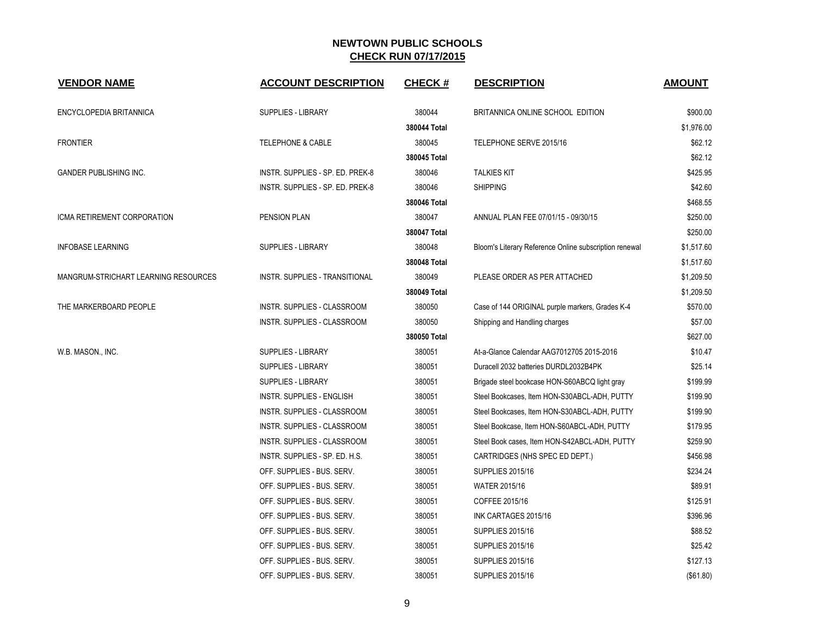| <b>VENDOR NAME</b>                   | <b>ACCOUNT DESCRIPTION</b>            | <b>CHECK#</b> | <b>DESCRIPTION</b>                                     | <b>AMOUNT</b> |
|--------------------------------------|---------------------------------------|---------------|--------------------------------------------------------|---------------|
| ENCYCLOPEDIA BRITANNICA              | <b>SUPPLIES - LIBRARY</b>             | 380044        | BRITANNICA ONLINE SCHOOL EDITION                       | \$900.00      |
|                                      |                                       | 380044 Total  |                                                        | \$1,976.00    |
| <b>FRONTIER</b>                      | <b>TELEPHONE &amp; CABLE</b>          | 380045        | TELEPHONE SERVE 2015/16                                | \$62.12       |
|                                      |                                       | 380045 Total  |                                                        | \$62.12       |
| <b>GANDER PUBLISHING INC.</b>        | INSTR. SUPPLIES - SP. ED. PREK-8      | 380046        | <b>TALKIES KIT</b>                                     | \$425.95      |
|                                      | INSTR. SUPPLIES - SP. ED. PREK-8      | 380046        | <b>SHIPPING</b>                                        | \$42.60       |
|                                      |                                       | 380046 Total  |                                                        | \$468.55      |
| ICMA RETIREMENT CORPORATION          | PENSION PLAN                          | 380047        | ANNUAL PLAN FEE 07/01/15 - 09/30/15                    | \$250.00      |
|                                      |                                       | 380047 Total  |                                                        | \$250.00      |
| <b>INFOBASE LEARNING</b>             | <b>SUPPLIES - LIBRARY</b>             | 380048        | Bloom's Literary Reference Online subscription renewal | \$1,517.60    |
|                                      |                                       | 380048 Total  |                                                        | \$1,517.60    |
| MANGRUM-STRICHART LEARNING RESOURCES | <b>INSTR. SUPPLIES - TRANSITIONAL</b> | 380049        | PLEASE ORDER AS PER ATTACHED                           | \$1,209.50    |
|                                      |                                       | 380049 Total  |                                                        | \$1,209.50    |
| THE MARKERBOARD PEOPLE               | <b>INSTR. SUPPLIES - CLASSROOM</b>    | 380050        | Case of 144 ORIGINAL purple markers, Grades K-4        | \$570.00      |
|                                      | <b>INSTR. SUPPLIES - CLASSROOM</b>    | 380050        | Shipping and Handling charges                          | \$57.00       |
|                                      |                                       | 380050 Total  |                                                        | \$627.00      |
| W.B. MASON., INC.                    | <b>SUPPLIES - LIBRARY</b>             | 380051        | At-a-Glance Calendar AAG7012705 2015-2016              | \$10.47       |
|                                      | <b>SUPPLIES - LIBRARY</b>             | 380051        | Duracell 2032 batteries DURDL2032B4PK                  | \$25.14       |
|                                      | <b>SUPPLIES - LIBRARY</b>             | 380051        | Brigade steel bookcase HON-S60ABCQ light gray          | \$199.99      |
|                                      | INSTR. SUPPLIES - ENGLISH             | 380051        | Steel Bookcases, Item HON-S30ABCL-ADH, PUTTY           | \$199.90      |
|                                      | INSTR. SUPPLIES - CLASSROOM           | 380051        | Steel Bookcases, Item HON-S30ABCL-ADH, PUTTY           | \$199.90      |
|                                      | INSTR. SUPPLIES - CLASSROOM           | 380051        | Steel Bookcase, Item HON-S60ABCL-ADH, PUTTY            | \$179.95      |
|                                      | INSTR. SUPPLIES - CLASSROOM           | 380051        | Steel Book cases, Item HON-S42ABCL-ADH, PUTTY          | \$259.90      |
|                                      | INSTR. SUPPLIES - SP. ED. H.S.        | 380051        | CARTRIDGES (NHS SPEC ED DEPT.)                         | \$456.98      |
|                                      | OFF. SUPPLIES - BUS. SERV.            | 380051        | <b>SUPPLIES 2015/16</b>                                | \$234.24      |
|                                      | OFF. SUPPLIES - BUS. SERV.            | 380051        | <b>WATER 2015/16</b>                                   | \$89.91       |
|                                      | OFF. SUPPLIES - BUS. SERV.            | 380051        | COFFEE 2015/16                                         | \$125.91      |
|                                      | OFF. SUPPLIES - BUS. SERV.            | 380051        | INK CARTAGES 2015/16                                   | \$396.96      |
|                                      | OFF. SUPPLIES - BUS. SERV.            | 380051        | <b>SUPPLIES 2015/16</b>                                | \$88.52       |
|                                      | OFF. SUPPLIES - BUS. SERV.            | 380051        | <b>SUPPLIES 2015/16</b>                                | \$25.42       |
|                                      | OFF. SUPPLIES - BUS. SERV.            | 380051        | <b>SUPPLIES 2015/16</b>                                | \$127.13      |
|                                      | OFF. SUPPLIES - BUS. SERV.            | 380051        | <b>SUPPLIES 2015/16</b>                                | (\$61.80)     |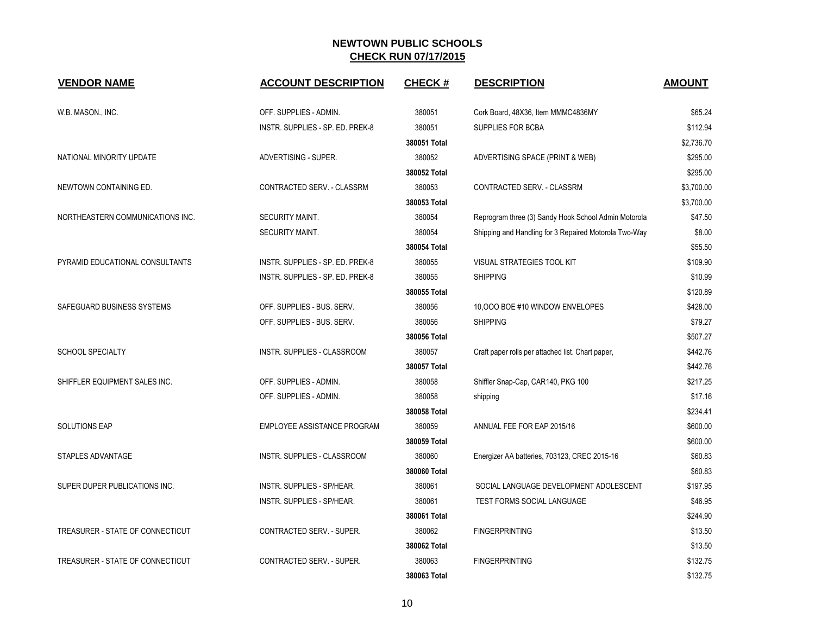| <b>VENDOR NAME</b>               | <b>ACCOUNT DESCRIPTION</b>       | <b>CHECK#</b> | <b>DESCRIPTION</b>                                    | <b>AMOUNT</b> |
|----------------------------------|----------------------------------|---------------|-------------------------------------------------------|---------------|
| W.B. MASON., INC.                | OFF. SUPPLIES - ADMIN.           | 380051        | Cork Board, 48X36, Item MMMC4836MY                    | \$65.24       |
|                                  | INSTR. SUPPLIES - SP. ED. PREK-8 | 380051        | SUPPLIES FOR BCBA                                     | \$112.94      |
|                                  |                                  | 380051 Total  |                                                       | \$2,736.70    |
| NATIONAL MINORITY UPDATE         | ADVERTISING - SUPER.             | 380052        | ADVERTISING SPACE (PRINT & WEB)                       | \$295.00      |
|                                  |                                  | 380052 Total  |                                                       | \$295.00      |
| NEWTOWN CONTAINING ED.           | CONTRACTED SERV. - CLASSRM       | 380053        | CONTRACTED SERV. - CLASSRM                            | \$3,700.00    |
|                                  |                                  | 380053 Total  |                                                       | \$3,700.00    |
| NORTHEASTERN COMMUNICATIONS INC. | SECURITY MAINT.                  | 380054        | Reprogram three (3) Sandy Hook School Admin Motorola  | \$47.50       |
|                                  | SECURITY MAINT.                  | 380054        | Shipping and Handling for 3 Repaired Motorola Two-Way | \$8.00        |
|                                  |                                  | 380054 Total  |                                                       | \$55.50       |
| PYRAMID EDUCATIONAL CONSULTANTS  | INSTR. SUPPLIES - SP. ED. PREK-8 | 380055        | VISUAL STRATEGIES TOOL KIT                            | \$109.90      |
|                                  | INSTR. SUPPLIES - SP. ED. PREK-8 | 380055        | <b>SHIPPING</b>                                       | \$10.99       |
|                                  |                                  | 380055 Total  |                                                       | \$120.89      |
| SAFEGUARD BUSINESS SYSTEMS       | OFF. SUPPLIES - BUS. SERV.       | 380056        | 10,000 BOE #10 WINDOW ENVELOPES                       | \$428.00      |
|                                  | OFF. SUPPLIES - BUS. SERV.       | 380056        | <b>SHIPPING</b>                                       | \$79.27       |
|                                  |                                  | 380056 Total  |                                                       | \$507.27      |
| <b>SCHOOL SPECIALTY</b>          | INSTR. SUPPLIES - CLASSROOM      | 380057        | Craft paper rolls per attached list. Chart paper,     | \$442.76      |
|                                  |                                  | 380057 Total  |                                                       | \$442.76      |
| SHIFFLER EQUIPMENT SALES INC.    | OFF. SUPPLIES - ADMIN.           | 380058        | Shiffler Snap-Cap, CAR140, PKG 100                    | \$217.25      |
|                                  | OFF. SUPPLIES - ADMIN.           | 380058        | shipping                                              | \$17.16       |
|                                  |                                  | 380058 Total  |                                                       | \$234.41      |
| <b>SOLUTIONS EAP</b>             | EMPLOYEE ASSISTANCE PROGRAM      | 380059        | ANNUAL FEE FOR EAP 2015/16                            | \$600.00      |
|                                  |                                  | 380059 Total  |                                                       | \$600.00      |
| STAPLES ADVANTAGE                | INSTR. SUPPLIES - CLASSROOM      | 380060        | Energizer AA batteries, 703123, CREC 2015-16          | \$60.83       |
|                                  |                                  | 380060 Total  |                                                       | \$60.83       |
| SUPER DUPER PUBLICATIONS INC.    | INSTR. SUPPLIES - SP/HEAR.       | 380061        | SOCIAL LANGUAGE DEVELOPMENT ADOLESCENT                | \$197.95      |
|                                  | INSTR. SUPPLIES - SP/HEAR.       | 380061        | TEST FORMS SOCIAL LANGUAGE                            | \$46.95       |
|                                  |                                  | 380061 Total  |                                                       | \$244.90      |
| TREASURER - STATE OF CONNECTICUT | CONTRACTED SERV. - SUPER.        | 380062        | <b>FINGERPRINTING</b>                                 | \$13.50       |
|                                  |                                  | 380062 Total  |                                                       | \$13.50       |
| TREASURER - STATE OF CONNECTICUT | <b>CONTRACTED SERV. - SUPER.</b> | 380063        | <b>FINGERPRINTING</b>                                 | \$132.75      |
|                                  |                                  | 380063 Total  |                                                       | \$132.75      |